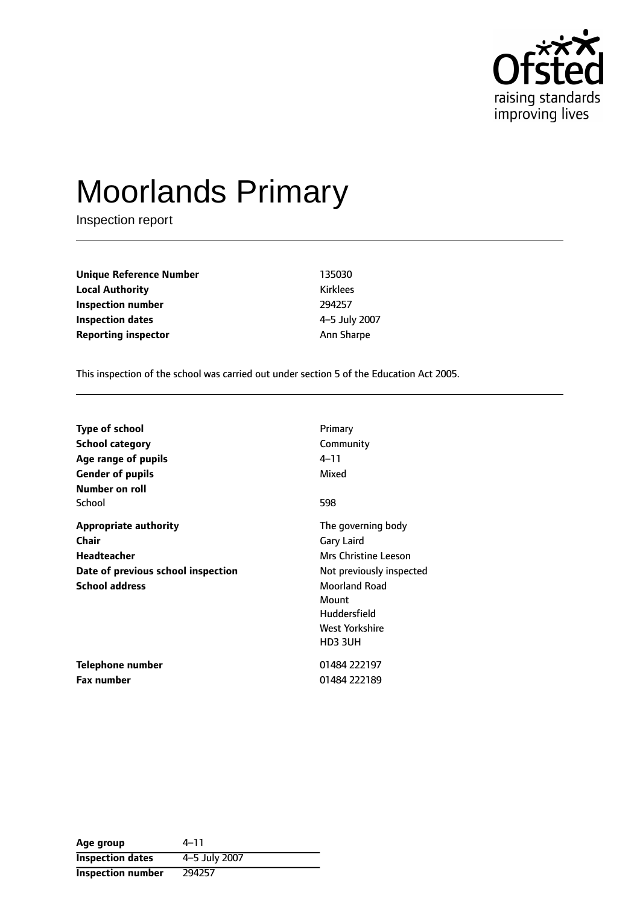

# Moorlands Primary

Inspection report

| Unique Reference Number    |  |
|----------------------------|--|
| <b>Local Authority</b>     |  |
| Inspection number          |  |
| <b>Inspection dates</b>    |  |
| <b>Reporting inspector</b> |  |

**Unique Reference Number** 135030 **Local Authority** Kirklees **Inspection number** 294257 **Inspection dates** 45 July 2007 **Ann Sharpe** 

This inspection of the school was carried out under section 5 of the Education Act 2005.

| <b>Type of school</b>              | Primary                  |
|------------------------------------|--------------------------|
| <b>School category</b>             | Community                |
| Age range of pupils                | 4–11                     |
| <b>Gender of pupils</b>            | Mixed                    |
| Number on roll                     |                          |
| School                             | 598                      |
| <b>Appropriate authority</b>       | The governing body       |
| <b>Chair</b>                       | Gary Laird               |
| <b>Headteacher</b>                 | Mrs Christine Leeson     |
| Date of previous school inspection | Not previously inspected |
| <b>School address</b>              | <b>Moorland Road</b>     |
|                                    | Mount                    |
|                                    | Huddersfield             |
|                                    | West Yorkshire           |
|                                    | HD3 3UH                  |
| Telephone number                   | 01484 222197             |
| Fax number                         | 01484 222189             |

| Age group                | 4–11          |
|--------------------------|---------------|
| <b>Inspection dates</b>  | 4-5 July 2007 |
| <b>Inspection number</b> | 294257        |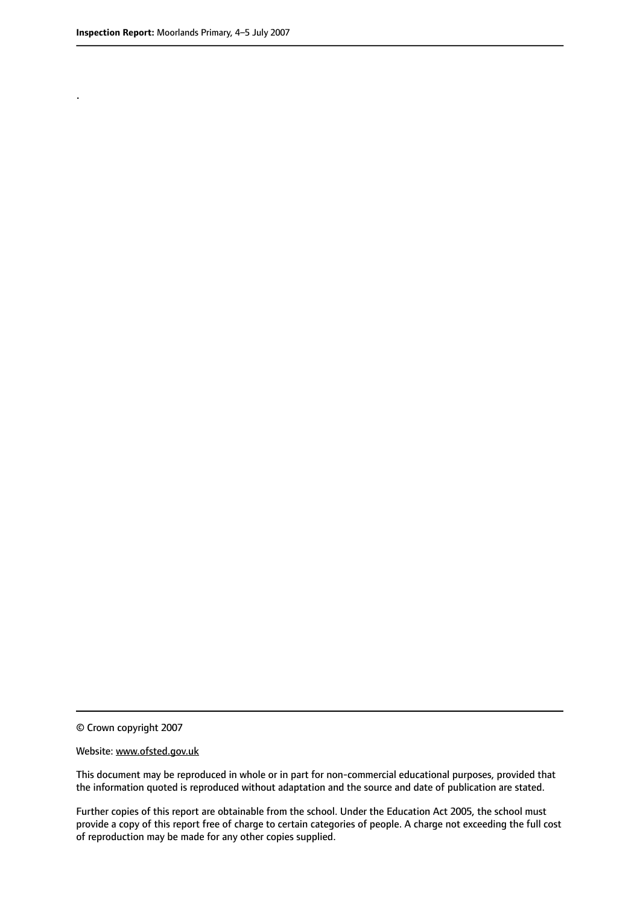.

© Crown copyright 2007

#### Website: www.ofsted.gov.uk

This document may be reproduced in whole or in part for non-commercial educational purposes, provided that the information quoted is reproduced without adaptation and the source and date of publication are stated.

Further copies of this report are obtainable from the school. Under the Education Act 2005, the school must provide a copy of this report free of charge to certain categories of people. A charge not exceeding the full cost of reproduction may be made for any other copies supplied.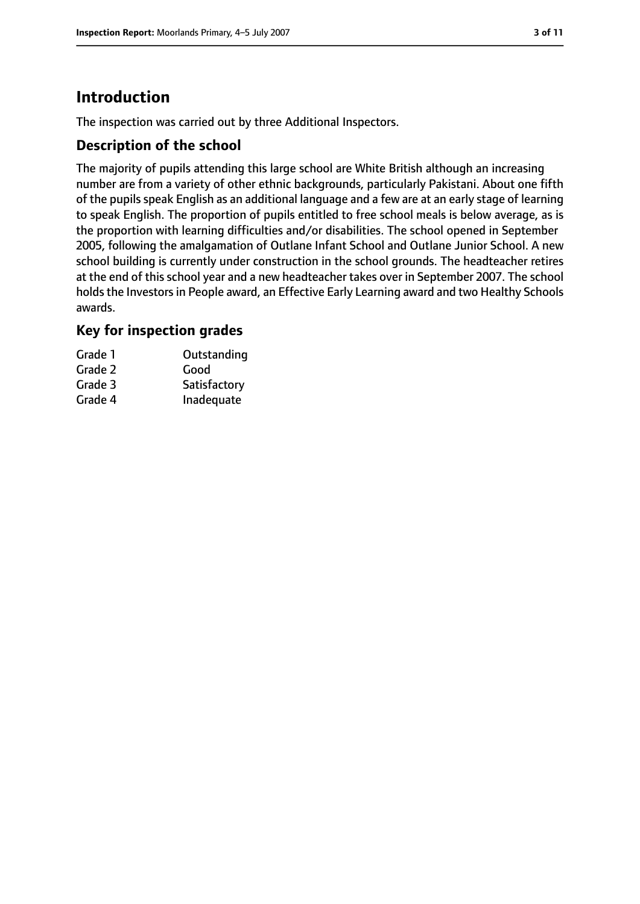# **Introduction**

The inspection was carried out by three Additional Inspectors.

## **Description of the school**

The majority of pupils attending this large school are White British although an increasing number are from a variety of other ethnic backgrounds, particularly Pakistani. About one fifth of the pupils speak English as an additional language and a few are at an early stage of learning to speak English. The proportion of pupils entitled to free school meals is below average, as is the proportion with learning difficulties and/or disabilities. The school opened in September 2005, following the amalgamation of Outlane Infant School and Outlane Junior School. A new school building is currently under construction in the school grounds. The headteacher retires at the end of this school year and a new headteacher takes over in September 2007. The school holds the Investors in People award, an Effective Early Learning award and two Healthy Schools awards.

## **Key for inspection grades**

| Grade 1 | Outstanding  |
|---------|--------------|
| Grade 2 | Good         |
| Grade 3 | Satisfactory |
| Grade 4 | Inadequate   |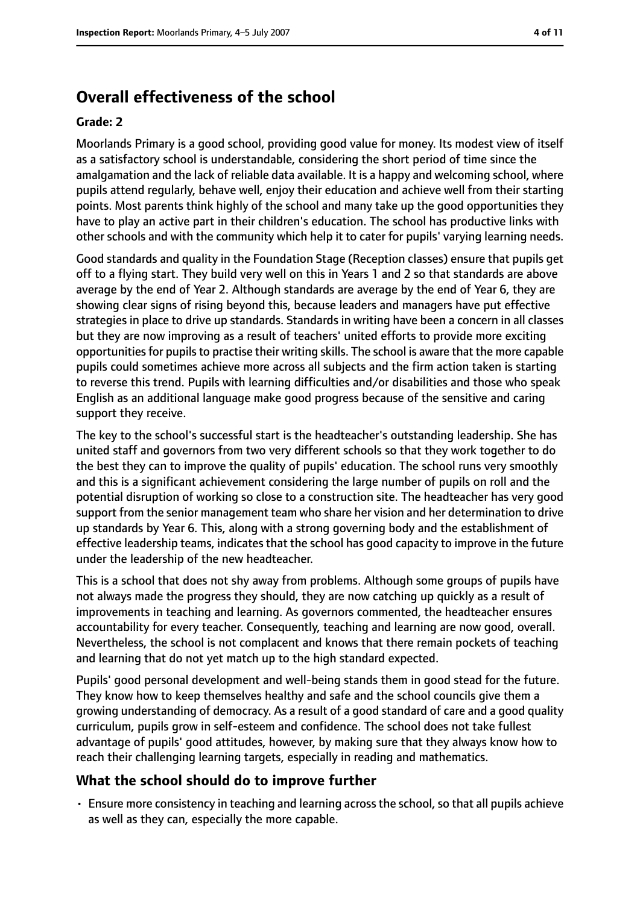# **Overall effectiveness of the school**

#### **Grade: 2**

Moorlands Primary is a good school, providing good value for money. Its modest view of itself as a satisfactory school is understandable, considering the short period of time since the amalgamation and the lack of reliable data available. It is a happy and welcoming school, where pupils attend regularly, behave well, enjoy their education and achieve well from their starting points. Most parents think highly of the school and many take up the good opportunities they have to play an active part in their children's education. The school has productive links with other schools and with the community which help it to cater for pupils' varying learning needs.

Good standards and quality in the Foundation Stage (Reception classes) ensure that pupils get off to a flying start. They build very well on this in Years 1 and 2 so that standards are above average by the end of Year 2. Although standards are average by the end of Year 6, they are showing clear signs of rising beyond this, because leaders and managers have put effective strategies in place to drive up standards. Standards in writing have been a concern in all classes but they are now improving as a result of teachers' united efforts to provide more exciting opportunities for pupils to practise their writing skills. The school is aware that the more capable pupils could sometimes achieve more across all subjects and the firm action taken is starting to reverse this trend. Pupils with learning difficulties and/or disabilities and those who speak English as an additional language make good progress because of the sensitive and caring support they receive.

The key to the school's successful start is the headteacher's outstanding leadership. She has united staff and governors from two very different schools so that they work together to do the best they can to improve the quality of pupils' education. The school runs very smoothly and this is a significant achievement considering the large number of pupils on roll and the potential disruption of working so close to a construction site. The headteacher has very good support from the senior management team who share her vision and her determination to drive up standards by Year 6. This, along with a strong governing body and the establishment of effective leadership teams, indicates that the school has good capacity to improve in the future under the leadership of the new headteacher.

This is a school that does not shy away from problems. Although some groups of pupils have not always made the progress they should, they are now catching up quickly as a result of improvements in teaching and learning. As governors commented, the headteacher ensures accountability for every teacher. Consequently, teaching and learning are now good, overall. Nevertheless, the school is not complacent and knows that there remain pockets of teaching and learning that do not yet match up to the high standard expected.

Pupils' good personal development and well-being stands them in good stead for the future. They know how to keep themselves healthy and safe and the school councils give them a growing understanding of democracy. As a result of a good standard of care and a good quality curriculum, pupils grow in self-esteem and confidence. The school does not take fullest advantage of pupils' good attitudes, however, by making sure that they always know how to reach their challenging learning targets, especially in reading and mathematics.

# **What the school should do to improve further**

• Ensure more consistency in teaching and learning across the school, so that all pupils achieve as well as they can, especially the more capable.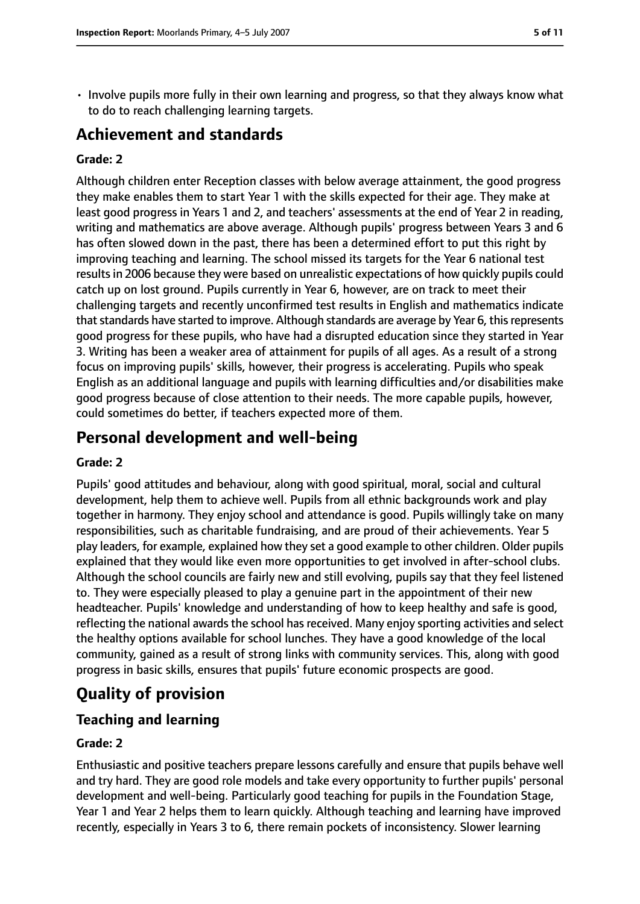• Involve pupils more fully in their own learning and progress, so that they always know what to do to reach challenging learning targets.

# **Achievement and standards**

#### **Grade: 2**

Although children enter Reception classes with below average attainment, the good progress they make enables them to start Year 1 with the skills expected for their age. They make at least good progress in Years 1 and 2, and teachers' assessments at the end of Year 2 in reading, writing and mathematics are above average. Although pupils' progress between Years 3 and 6 has often slowed down in the past, there has been a determined effort to put this right by improving teaching and learning. The school missed its targets for the Year 6 national test results in 2006 because they were based on unrealistic expectations of how quickly pupils could catch up on lost ground. Pupils currently in Year 6, however, are on track to meet their challenging targets and recently unconfirmed test results in English and mathematics indicate that standards have started to improve. Although standards are average by Year 6, this represents good progress for these pupils, who have had a disrupted education since they started in Year 3. Writing has been a weaker area of attainment for pupils of all ages. As a result of a strong focus on improving pupils' skills, however, their progress is accelerating. Pupils who speak English as an additional language and pupils with learning difficulties and/or disabilities make good progress because of close attention to their needs. The more capable pupils, however, could sometimes do better, if teachers expected more of them.

# **Personal development and well-being**

#### **Grade: 2**

Pupils' good attitudes and behaviour, along with good spiritual, moral, social and cultural development, help them to achieve well. Pupils from all ethnic backgrounds work and play together in harmony. They enjoy school and attendance is good. Pupils willingly take on many responsibilities, such as charitable fundraising, and are proud of their achievements. Year 5 play leaders, for example, explained how they set a good example to other children. Older pupils explained that they would like even more opportunities to get involved in after-school clubs. Although the school councils are fairly new and still evolving, pupils say that they feel listened to. They were especially pleased to play a genuine part in the appointment of their new headteacher. Pupils' knowledge and understanding of how to keep healthy and safe is good, reflecting the national awards the school has received. Many enjoy sporting activities and select the healthy options available for school lunches. They have a good knowledge of the local community, gained as a result of strong links with community services. This, along with good progress in basic skills, ensures that pupils' future economic prospects are good.

# **Quality of provision**

# **Teaching and learning**

#### **Grade: 2**

Enthusiastic and positive teachers prepare lessons carefully and ensure that pupils behave well and try hard. They are good role models and take every opportunity to further pupils' personal development and well-being. Particularly good teaching for pupils in the Foundation Stage, Year 1 and Year 2 helps them to learn quickly. Although teaching and learning have improved recently, especially in Years 3 to 6, there remain pockets of inconsistency. Slower learning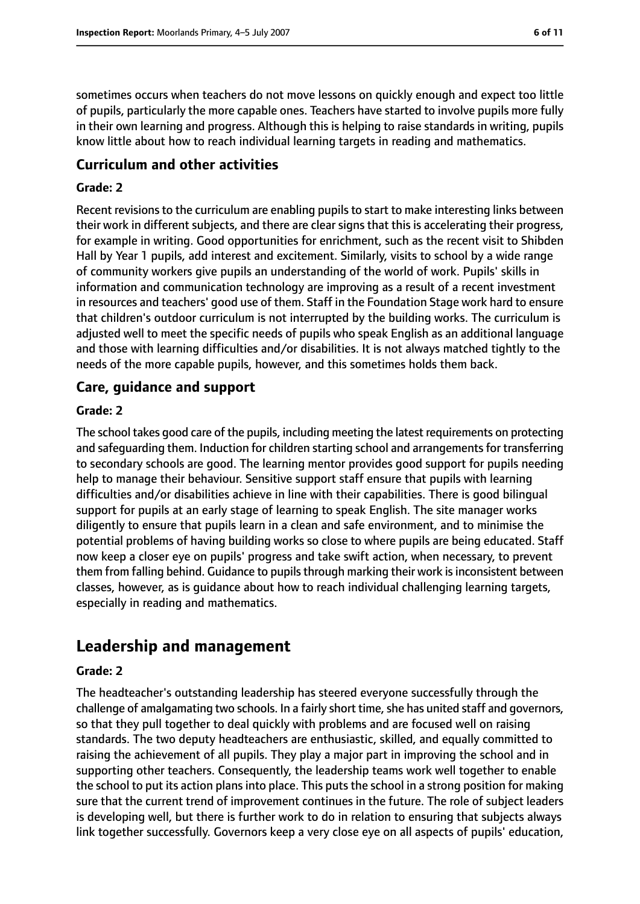sometimes occurs when teachers do not move lessons on quickly enough and expect too little of pupils, particularly the more capable ones. Teachers have started to involve pupils more fully in their own learning and progress. Although this is helping to raise standards in writing, pupils know little about how to reach individual learning targets in reading and mathematics.

### **Curriculum and other activities**

#### **Grade: 2**

Recent revisions to the curriculum are enabling pupils to start to make interesting links between their work in different subjects, and there are clear signs that this is accelerating their progress, for example in writing. Good opportunities for enrichment, such as the recent visit to Shibden Hall by Year 1 pupils, add interest and excitement. Similarly, visits to school by a wide range of community workers give pupils an understanding of the world of work. Pupils' skills in information and communication technology are improving as a result of a recent investment in resources and teachers' good use of them. Staff in the Foundation Stage work hard to ensure that children's outdoor curriculum is not interrupted by the building works. The curriculum is adjusted well to meet the specific needs of pupils who speak English as an additional language and those with learning difficulties and/or disabilities. It is not always matched tightly to the needs of the more capable pupils, however, and this sometimes holds them back.

#### **Care, guidance and support**

#### **Grade: 2**

The school takes good care of the pupils, including meeting the latest requirements on protecting and safequarding them. Induction for children starting school and arrangements for transferring to secondary schools are good. The learning mentor provides good support for pupils needing help to manage their behaviour. Sensitive support staff ensure that pupils with learning difficulties and/or disabilities achieve in line with their capabilities. There is good bilingual support for pupils at an early stage of learning to speak English. The site manager works diligently to ensure that pupils learn in a clean and safe environment, and to minimise the potential problems of having building works so close to where pupils are being educated. Staff now keep a closer eye on pupils' progress and take swift action, when necessary, to prevent them from falling behind. Guidance to pupils through marking their work is inconsistent between classes, however, as is guidance about how to reach individual challenging learning targets, especially in reading and mathematics.

# **Leadership and management**

#### **Grade: 2**

The headteacher's outstanding leadership has steered everyone successfully through the challenge of amalgamating two schools. In a fairly short time, she has united staff and governors, so that they pull together to deal quickly with problems and are focused well on raising standards. The two deputy headteachers are enthusiastic, skilled, and equally committed to raising the achievement of all pupils. They play a major part in improving the school and in supporting other teachers. Consequently, the leadership teams work well together to enable the school to put its action plans into place. This puts the school in a strong position for making sure that the current trend of improvement continues in the future. The role of subject leaders is developing well, but there is further work to do in relation to ensuring that subjects always link together successfully. Governors keep a very close eye on all aspects of pupils' education,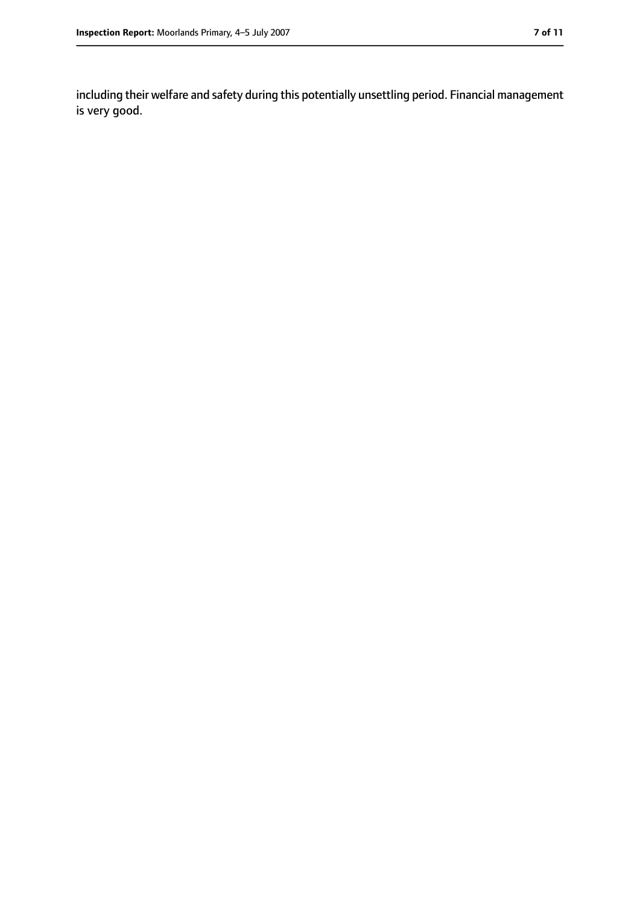including their welfare and safety during this potentially unsettling period. Financial management is very good.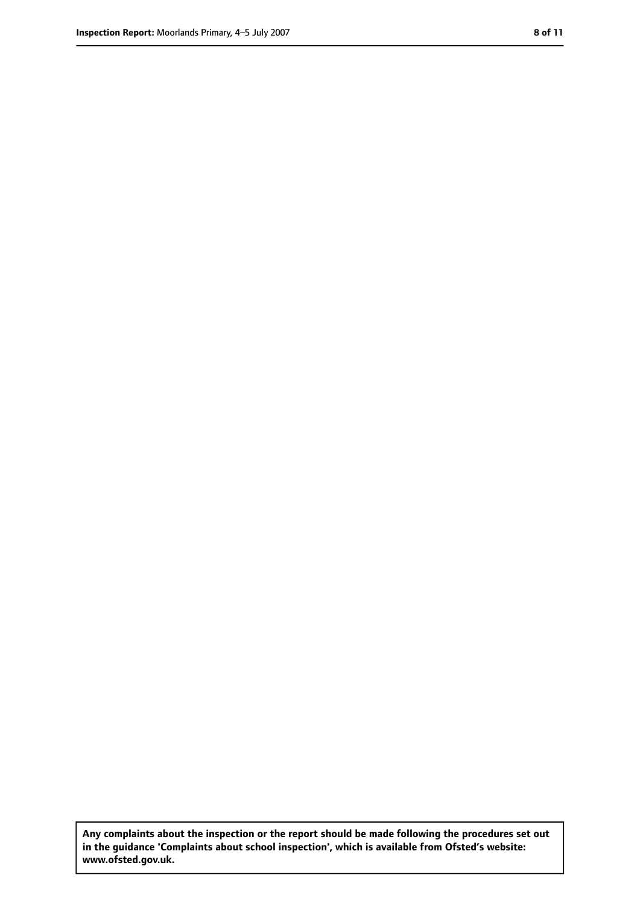**Any complaints about the inspection or the report should be made following the procedures set out in the guidance 'Complaints about school inspection', which is available from Ofsted's website: www.ofsted.gov.uk.**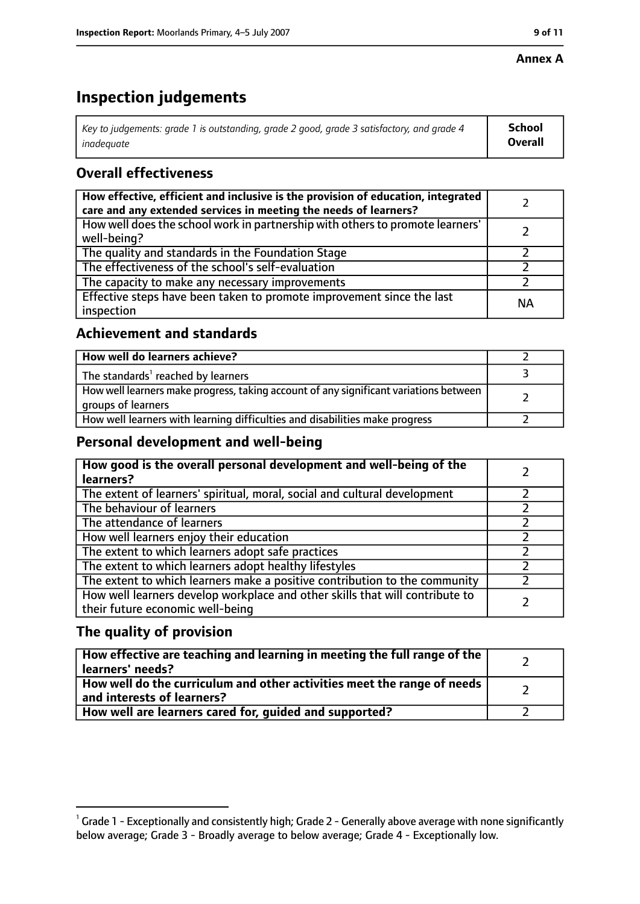#### **Annex A**

# **Inspection judgements**

| Key to judgements: grade 1 is outstanding, grade 2 good, grade 3 satisfactory, and grade 4 $\,$ | <b>School</b>  |
|-------------------------------------------------------------------------------------------------|----------------|
| inadequate                                                                                      | <b>Overall</b> |

# **Overall effectiveness**

| How effective, efficient and inclusive is the provision of education, integrated<br>care and any extended services in meeting the needs of learners? |           |
|------------------------------------------------------------------------------------------------------------------------------------------------------|-----------|
| How well does the school work in partnership with others to promote learners'<br>well-being?                                                         |           |
| The quality and standards in the Foundation Stage                                                                                                    |           |
| The effectiveness of the school's self-evaluation                                                                                                    |           |
| The capacity to make any necessary improvements                                                                                                      |           |
| Effective steps have been taken to promote improvement since the last<br>inspection                                                                  | <b>NA</b> |

# **Achievement and standards**

| How well do learners achieve?                                                                               |  |
|-------------------------------------------------------------------------------------------------------------|--|
| The standards <sup>1</sup> reached by learners                                                              |  |
| How well learners make progress, taking account of any significant variations between<br>groups of learners |  |
| How well learners with learning difficulties and disabilities make progress                                 |  |

# **Personal development and well-being**

| How good is the overall personal development and well-being of the<br>learners?                                  |  |
|------------------------------------------------------------------------------------------------------------------|--|
| The extent of learners' spiritual, moral, social and cultural development                                        |  |
| The behaviour of learners                                                                                        |  |
| The attendance of learners                                                                                       |  |
| How well learners enjoy their education                                                                          |  |
| The extent to which learners adopt safe practices                                                                |  |
| The extent to which learners adopt healthy lifestyles                                                            |  |
| The extent to which learners make a positive contribution to the community                                       |  |
| How well learners develop workplace and other skills that will contribute to<br>their future economic well-being |  |

# **The quality of provision**

| How effective are teaching and learning in meeting the full range of the<br>learners' needs?          |  |
|-------------------------------------------------------------------------------------------------------|--|
| How well do the curriculum and other activities meet the range of needs<br>and interests of learners? |  |
| How well are learners cared for, quided and supported?                                                |  |

 $^1$  Grade 1 - Exceptionally and consistently high; Grade 2 - Generally above average with none significantly below average; Grade 3 - Broadly average to below average; Grade 4 - Exceptionally low.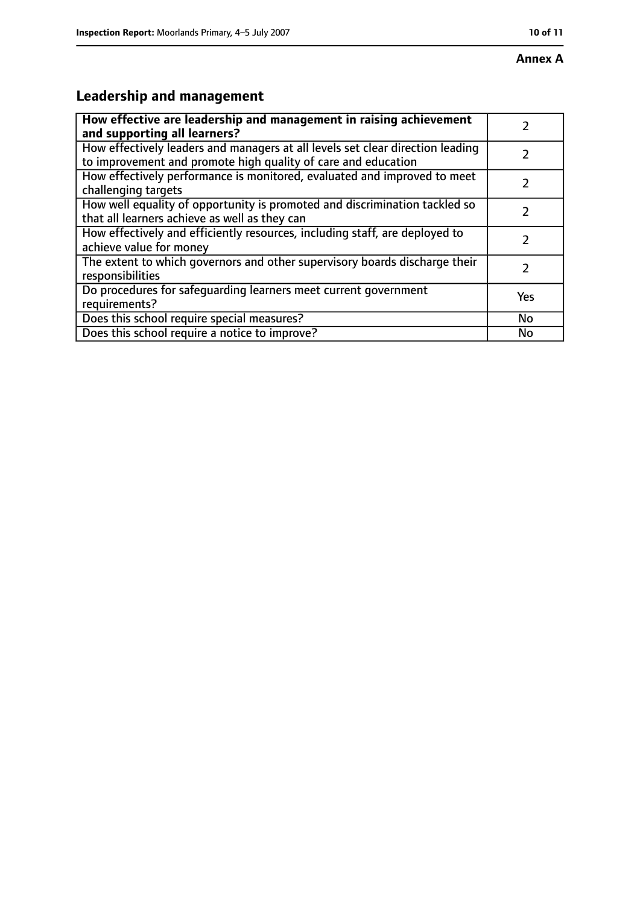#### **Annex A**

# **Leadership and management**

| How effective are leadership and management in raising achievement                                                                              |               |
|-------------------------------------------------------------------------------------------------------------------------------------------------|---------------|
| and supporting all learners?                                                                                                                    |               |
| How effectively leaders and managers at all levels set clear direction leading<br>to improvement and promote high quality of care and education |               |
| How effectively performance is monitored, evaluated and improved to meet<br>challenging targets                                                 |               |
| How well equality of opportunity is promoted and discrimination tackled so<br>that all learners achieve as well as they can                     |               |
| How effectively and efficiently resources, including staff, are deployed to<br>achieve value for money                                          | 7             |
| The extent to which governors and other supervisory boards discharge their<br>responsibilities                                                  | $\mathcal{L}$ |
| Do procedures for safequarding learners meet current government<br>requirements?                                                                | Yes           |
| Does this school require special measures?                                                                                                      | No            |
| Does this school require a notice to improve?                                                                                                   | No            |